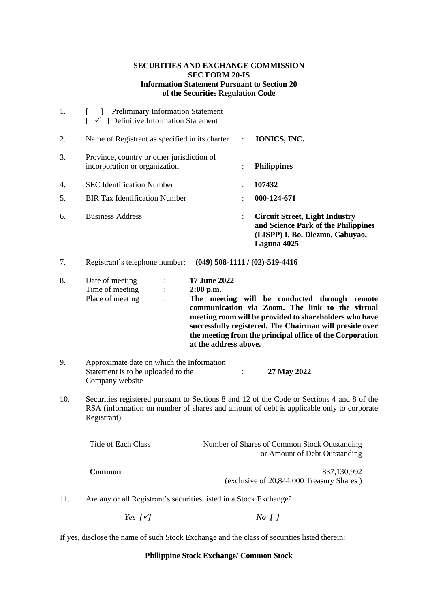# **SECURITIES AND EXCHANGE COMMISSION SEC FORM 20-IS Information Statement Pursuant to Section 20 of the Securities Regulation Code**

| 1.  | ] Preliminary Information Statement<br>$\checkmark$ ] Definitive Information Statement<br>L.                                                                                                         |                       |  |                                                                                                                                                                                                                                                                                  |
|-----|------------------------------------------------------------------------------------------------------------------------------------------------------------------------------------------------------|-----------------------|--|----------------------------------------------------------------------------------------------------------------------------------------------------------------------------------------------------------------------------------------------------------------------------------|
| 2.  | Name of Registrant as specified in its charter                                                                                                                                                       |                       |  | IONICS, INC.                                                                                                                                                                                                                                                                     |
| 3.  | Province, country or other jurisdiction of<br>incorporation or organization                                                                                                                          |                       |  | <b>Philippines</b>                                                                                                                                                                                                                                                               |
| 4.  | <b>SEC Identification Number</b>                                                                                                                                                                     |                       |  | 107432                                                                                                                                                                                                                                                                           |
| 5.  | <b>BIR Tax Identification Number</b>                                                                                                                                                                 |                       |  | 000-124-671                                                                                                                                                                                                                                                                      |
| 6.  | <b>Business Address</b>                                                                                                                                                                              | ÷                     |  | <b>Circuit Street, Light Industry</b><br>and Science Park of the Philippines<br>(LISPP) I, Bo. Diezmo, Cabuyao,<br>Laguna 4025                                                                                                                                                   |
| 7.  | Registrant's telephone number:                                                                                                                                                                       |                       |  | $(049)$ 508-1111 / $(02)$ -519-4416                                                                                                                                                                                                                                              |
| 8.  | 17 June 2022<br>Date of meeting<br>÷<br>Time of meeting<br>2:00 p.m.<br>Place of meeting                                                                                                             | at the address above. |  | The meeting will be conducted through remote<br>communication via Zoom. The link to the virtual<br>meeting room will be provided to shareholders who have<br>successfully registered. The Chairman will preside over<br>the meeting from the principal office of the Corporation |
| 9.  | Approximate date on which the Information<br>Statement is to be uploaded to the<br>Company website                                                                                                   | $\ddot{\cdot}$        |  | 27 May 2022                                                                                                                                                                                                                                                                      |
| 10. | Securities registered pursuant to Sections 8 and 12 of the Code or Sections 4 and 8 of the<br>RSA (information on number of shares and amount of debt is applicable only to corporate<br>Registrant) |                       |  |                                                                                                                                                                                                                                                                                  |
|     | Title of Each Class                                                                                                                                                                                  |                       |  | Number of Shares of Common Stock Outstanding<br>or Amount of Debt Outstanding                                                                                                                                                                                                    |
|     | <b>Common</b>                                                                                                                                                                                        |                       |  | 837,130,992<br>(exclusive of 20,844,000 Treasury Shares)                                                                                                                                                                                                                         |
| 11. | Are any or all Registrant's securities listed in a Stock Exchange?                                                                                                                                   |                       |  |                                                                                                                                                                                                                                                                                  |
|     | Yes $[\checkmark]$                                                                                                                                                                                   |                       |  | $No$ []                                                                                                                                                                                                                                                                          |
|     | If yes, disclose the name of such Stock Exchange and the class of securities listed therein:                                                                                                         |                       |  |                                                                                                                                                                                                                                                                                  |

# **Philippine Stock Exchange/ Common Stock**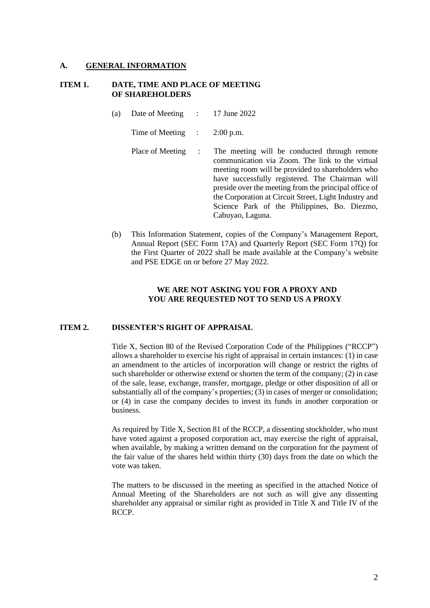## **A. GENERAL INFORMATION**

## **ITEM 1. DATE, TIME AND PLACE OF MEETING OF SHAREHOLDERS**

(a) Date of Meeting : 17 June 2022

Time of Meeting : 2:00 p.m.

- Place of Meeting : The meeting will be conducted through remote communication via Zoom. The link to the virtual meeting room will be provided to shareholders who have successfully registered. The Chairman will preside over the meeting from the principal office of the Corporation at Circuit Street, Light Industry and Science Park of the Philippines, Bo. Diezmo, Cabuyao, Laguna.
- (b) This Information Statement, copies of the Company's Management Report, Annual Report (SEC Form 17A) and Quarterly Report (SEC Form 17Q) for the First Quarter of 2022 shall be made available at the Company's website and PSE EDGE on or before 27 May 2022.

## **WE ARE NOT ASKING YOU FOR A PROXY AND YOU ARE REQUESTED NOT TO SEND US A PROXY**

## **ITEM 2. DISSENTER'S RIGHT OF APPRAISAL**

Title X, Section 80 of the Revised Corporation Code of the Philippines ("RCCP") allows a shareholder to exercise his right of appraisal in certain instances: (1) in case an amendment to the articles of incorporation will change or restrict the rights of such shareholder or otherwise extend or shorten the term of the company; (2) in case of the sale, lease, exchange, transfer, mortgage, pledge or other disposition of all or substantially all of the company's properties; (3) in cases of merger or consolidation; or (4) in case the company decides to invest its funds in another corporation or business.

As required by Title X, Section 81 of the RCCP, a dissenting stockholder, who must have voted against a proposed corporation act, may exercise the right of appraisal, when available, by making a written demand on the corporation for the payment of the fair value of the shares held within thirty (30) days from the date on which the vote was taken.

The matters to be discussed in the meeting as specified in the attached Notice of Annual Meeting of the Shareholders are not such as will give any dissenting shareholder any appraisal or similar right as provided in Title  $\overline{X}$  and Title IV of the RCCP.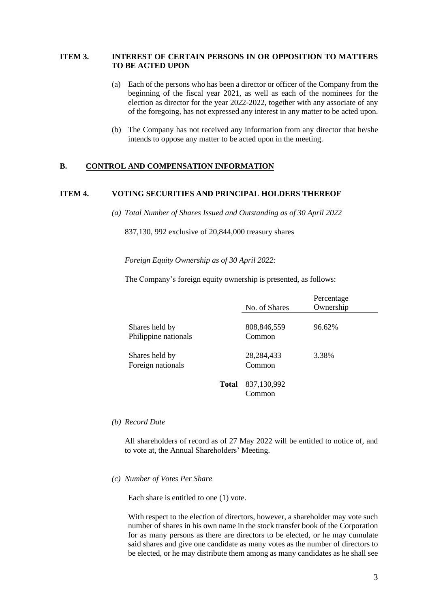## **ITEM 3. INTEREST OF CERTAIN PERSONS IN OR OPPOSITION TO MATTERS TO BE ACTED UPON**

- (a) Each of the persons who has been a director or officer of the Company from the beginning of the fiscal year 2021, as well as each of the nominees for the election as director for the year 2022-2022, together with any associate of any of the foregoing, has not expressed any interest in any matter to be acted upon.
- (b) The Company has not received any information from any director that he/she intends to oppose any matter to be acted upon in the meeting.

### **B. CONTROL AND COMPENSATION INFORMATION**

# **ITEM 4. VOTING SECURITIES AND PRINCIPAL HOLDERS THEREOF**

*(a) Total Number of Shares Issued and Outstanding as of 30 April 2022*

837,130, 992 exclusive of 20,844,000 treasury shares

*Foreign Equity Ownership as of 30 April 2022:*

The Company's foreign equity ownership is presented, as follows:

|                                        |              | No. of Shares          | Percentage<br>Ownership |
|----------------------------------------|--------------|------------------------|-------------------------|
| Shares held by<br>Philippine nationals |              | 808,846,559<br>Common  | 96.62%                  |
| Shares held by<br>Foreign nationals    |              | 28, 284, 433<br>Common | 3.38%                   |
|                                        | <b>Total</b> | 837,130,992<br>Common  |                         |

*(b) Record Date*

All shareholders of record as of 27 May 2022 will be entitled to notice of, and to vote at, the Annual Shareholders' Meeting.

#### *(c) Number of Votes Per Share*

Each share is entitled to one (1) vote.

With respect to the election of directors, however, a shareholder may vote such number of shares in his own name in the stock transfer book of the Corporation for as many persons as there are directors to be elected, or he may cumulate said shares and give one candidate as many votes as the number of directors to be elected, or he may distribute them among as many candidates as he shall see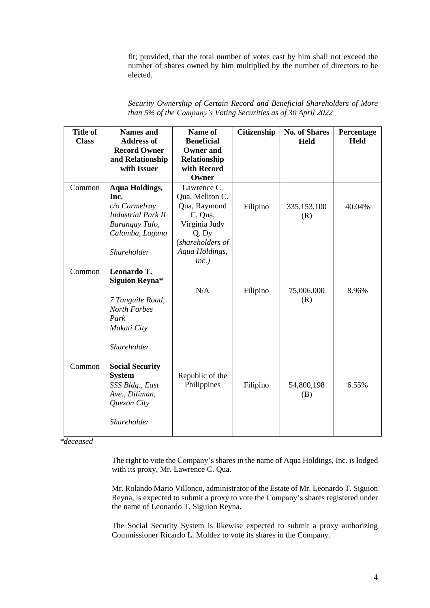fit; provided, that the total number of votes cast by him shall not exceed the number of shares owned by him multiplied by the number of directors to be elected.

| <b>Title of</b><br><b>Class</b> | Names and<br>Address of<br><b>Record Owner</b><br>and Relationship<br>with Issuer                                                 | Name of<br><b>Beneficial</b><br>Owner and<br>Relationship<br>with Record<br>Owner                                                  | <b>Citizenship</b> | <b>No. of Shares</b><br><b>Held</b> | Percentage<br><b>Held</b> |
|---------------------------------|-----------------------------------------------------------------------------------------------------------------------------------|------------------------------------------------------------------------------------------------------------------------------------|--------------------|-------------------------------------|---------------------------|
| Common                          | Aqua Holdings,<br>Inc.<br>$c/o$ Carmelray<br><i>Industrial Park II</i><br>Barangay Tulo,<br>Calamba, Laguna<br><i>Shareholder</i> | Lawrence C.<br>Qua, Meliton C.<br>Qua, Raymond<br>C. Qua,<br>Virginia Judy<br>Q. Dy<br>(shareholders of<br>Aqua Holdings,<br>Inc.) | Filipino           | 335,153,100<br>(R)                  | 40.04%                    |
| Common                          | Leonardo T.<br>Siguion Reyna*                                                                                                     | N/A                                                                                                                                | Filipino           | 75,006,000                          | 8.96%                     |

|  |                                                                | Security Ownership of Certain Record and Beneficial Shareholders of More |  |
|--|----------------------------------------------------------------|--------------------------------------------------------------------------|--|
|  | than 5% of the Company's Voting Securities as of 30 April 2022 |                                                                          |  |

(R)

(B)

6.55%

*\*deceased*

*7 Tanguile Road, North Forbes*

*Shareholder*

*SSS Bldg., East Ave., Diliman, Quezon City*

*Shareholder*

*Park Makati City*

Common **Social Security System**

> The right to vote the Company's shares in the name of Aqua Holdings, Inc. is lodged with its proxy, Mr. Lawrence C. Qua.

Philippines Filipino 54,800,198

Republic of the

Mr. Rolando Mario Villonco, administrator of the Estate of Mr. Leonardo T. Siguion Reyna, is expected to submit a proxy to vote the Company's shares registered under the name of Leonardo T. Siguion Reyna.

The Social Security System is likewise expected to submit a proxy authorizing Commissioner Ricardo L. Moldez to vote its shares in the Company.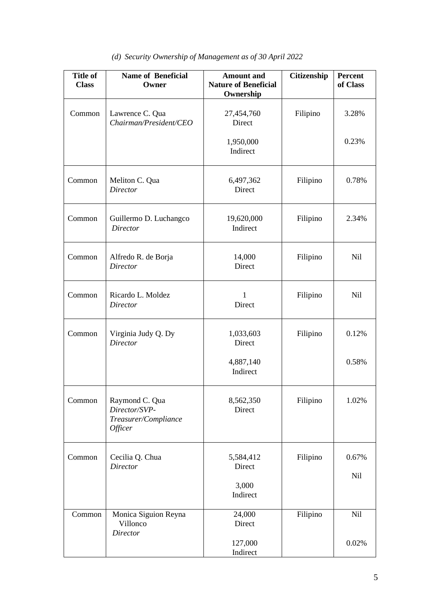# *(d) Security Ownership of Management as of 30 April 2022*

| <b>Title of</b><br><b>Class</b> | <b>Name of Beneficial</b><br>Owner                                 | <b>Amount</b> and<br><b>Nature of Beneficial</b><br>Ownership | Citizenship | <b>Percent</b><br>of Class |
|---------------------------------|--------------------------------------------------------------------|---------------------------------------------------------------|-------------|----------------------------|
| Common                          | Lawrence C. Qua<br>Chairman/President/CEO                          | 27,454,760<br>Direct                                          | Filipino    | 3.28%                      |
|                                 |                                                                    | 1,950,000<br>Indirect                                         |             | 0.23%                      |
| Common                          | Meliton C. Qua<br><b>Director</b>                                  | 6,497,362<br>Direct                                           | Filipino    | 0.78%                      |
| Common                          | Guillermo D. Luchangco<br><b>Director</b>                          | 19,620,000<br>Indirect                                        | Filipino    | 2.34%                      |
| Common                          | Alfredo R. de Borja<br><b>Director</b>                             | 14,000<br>Direct                                              | Filipino    | <b>Nil</b>                 |
| Common                          | Ricardo L. Moldez<br>Director                                      | $\mathbf{1}$<br>Direct                                        | Filipino    | <b>Nil</b>                 |
| Common                          | Virginia Judy Q. Dy<br><b>Director</b>                             | 1,033,603<br>Direct                                           | Filipino    | 0.12%                      |
|                                 |                                                                    | 4,887,140<br>Indirect                                         |             | 0.58%                      |
| Common                          | Raymond C. Qua<br>Director/SVP-<br>Treasurer/Compliance<br>Officer | 8,562,350<br>Direct                                           | Filipino    | 1.02%                      |
| Common                          | Cecilia Q. Chua<br><b>Director</b>                                 | 5,584,412<br>Direct                                           | Filipino    | 0.67%                      |
|                                 |                                                                    | 3,000<br>Indirect                                             |             | Nil                        |
| Common                          | Monica Siguion Reyna<br>Villonco<br>Director                       | 24,000<br>Direct                                              | Filipino    | <b>Nil</b>                 |
|                                 |                                                                    | 127,000<br>Indirect                                           |             | 0.02%                      |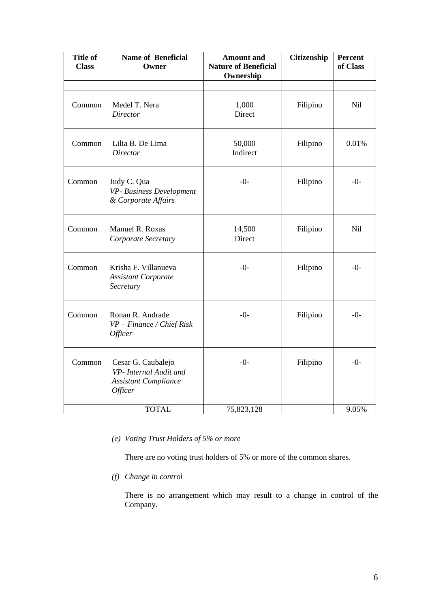| <b>Title of</b><br><b>Class</b> | <b>Name of Beneficial</b><br>Owner                                                     | <b>Amount and</b><br><b>Nature of Beneficial</b><br>Ownership | Citizenship | Percent<br>of Class |
|---------------------------------|----------------------------------------------------------------------------------------|---------------------------------------------------------------|-------------|---------------------|
|                                 |                                                                                        |                                                               |             |                     |
| Common                          | Medel T. Nera<br><b>Director</b>                                                       | 1,000<br>Direct                                               | Filipino    | Nil                 |
| Common                          | Lilia B. De Lima<br><b>Director</b>                                                    | 50,000<br>Indirect                                            | Filipino    | 0.01%               |
| Common                          | Judy C. Qua<br>VP- Business Development<br>& Corporate Affairs                         | $-()$ -                                                       | Filipino    | $-0-$               |
| Common                          | Manuel R. Roxas<br>Corporate Secretary                                                 | 14,500<br>Direct                                              | Filipino    | Nil                 |
| Common                          | Krisha F. Villanueva<br><b>Assistant Corporate</b><br>Secretary                        | $-0-$                                                         | Filipino    | $-0-$               |
| Common                          | Ronan R. Andrade<br>$VP - Finance / Chief Risk$<br><i><b>Officer</b></i>               | $-0-$                                                         | Filipino    | $-0-$               |
| Common                          | Cesar G. Caubalejo<br>VP- Internal Audit and<br><b>Assistant Compliance</b><br>Officer | $-0-$                                                         | Filipino    | $-0-$               |
|                                 | <b>TOTAL</b>                                                                           | 75,823,128                                                    |             | 9.05%               |

*(e) Voting Trust Holders of 5% or more*

There are no voting trust holders of 5% or more of the common shares.

*(f) Change in control*

There is no arrangement which may result to a change in control of the Company.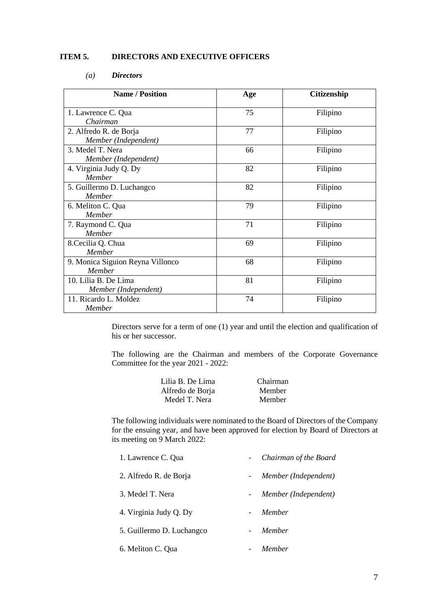## **ITEM 5. DIRECTORS AND EXECUTIVE OFFICERS**

# *(a) Directors*

| <b>Name / Position</b>                         | Age | <b>Citizenship</b> |
|------------------------------------------------|-----|--------------------|
| 1. Lawrence C. Qua<br>Chairman                 | 75  | Filipino           |
| 2. Alfredo R. de Borja<br>Member (Independent) | 77  | Filipino           |
| 3. Medel T. Nera<br>Member (Independent)       | 66  | Filipino           |
| 4. Virginia Judy Q. Dy<br>Member               | 82  | Filipino           |
| 5. Guillermo D. Luchangco<br>Member            | 82  | Filipino           |
| 6. Meliton C. Qua<br>Member                    | 79  | Filipino           |
| 7. Raymond C. Qua<br><b>Member</b>             | 71  | Filipino           |
| 8. Cecilia Q. Chua<br>Member                   | 69  | Filipino           |
| 9. Monica Siguion Reyna Villonco<br>Member     | 68  | Filipino           |
| 10. Lilia B. De Lima<br>Member (Independent)   | 81  | Filipino           |
| 11. Ricardo L. Moldez<br>Member                | 74  | Filipino           |

Directors serve for a term of one (1) year and until the election and qualification of his or her successor.

The following are the Chairman and members of the Corporate Governance Committee for the year 2021 - 2022:

| Lilia B. De Lima | Chairman      |
|------------------|---------------|
| Alfredo de Borja | <b>Member</b> |
| Medel T. Nera    | <b>Member</b> |

The following individuals were nominated to the Board of Directors of the Company for the ensuing year, and have been approved for election by Board of Directors at its meeting on 9 March 2022:

| 1. Lawrence C. Qua        |     | Chairman of the Board |
|---------------------------|-----|-----------------------|
| 2. Alfredo R. de Borja    | $-$ | Member (Independent)  |
| 3. Medel T. Nera          |     | Member (Independent)  |
| 4. Virginia Judy Q. Dy    |     | Member                |
| 5. Guillermo D. Luchangco |     | Member                |
|                           |     |                       |

6. Meliton C. Qua - *Member*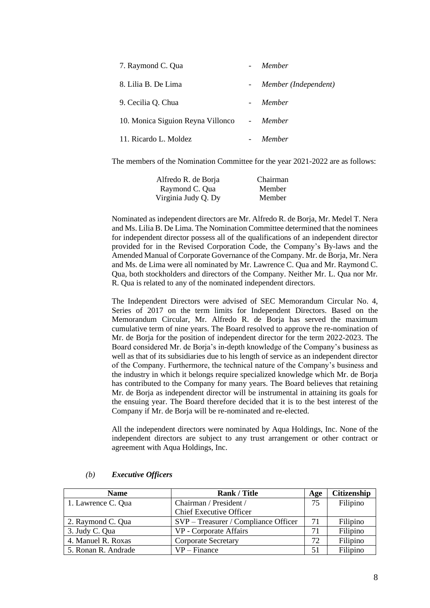| 7. Raymond C. Qua                 | Member               |
|-----------------------------------|----------------------|
| 8. Lilia B. De Lima               | Member (Independent) |
| 9. Cecilia Q. Chua                | Member               |
| 10. Monica Siguion Reyna Villonco | - Member             |
| 11. Ricardo L. Moldez             | Member               |

The members of the Nomination Committee for the year 2021-2022 are as follows:

| Alfredo R. de Borja | Chairman |
|---------------------|----------|
| Raymond C. Qua      | Member   |
| Virginia Judy Q. Dy | Member   |

Nominated as independent directors are Mr. Alfredo R. de Borja, Mr. Medel T. Nera and Ms. Lilia B. De Lima. The Nomination Committee determined that the nominees for independent director possess all of the qualifications of an independent director provided for in the Revised Corporation Code, the Company's By-laws and the Amended Manual of Corporate Governance of the Company. Mr. de Borja, Mr. Nera and Ms. de Lima were all nominated by Mr. Lawrence C. Qua and Mr. Raymond C. Qua, both stockholders and directors of the Company. Neither Mr. L. Qua nor Mr. R. Qua is related to any of the nominated independent directors.

The Independent Directors were advised of SEC Memorandum Circular No. 4, Series of 2017 on the term limits for Independent Directors. Based on the Memorandum Circular, Mr. Alfredo R. de Borja has served the maximum cumulative term of nine years. The Board resolved to approve the re-nomination of Mr. de Borja for the position of independent director for the term 2022-2023. The Board considered Mr. de Borja's in-depth knowledge of the Company's business as well as that of its subsidiaries due to his length of service as an independent director of the Company. Furthermore, the technical nature of the Company's business and the industry in which it belongs require specialized knowledge which Mr. de Borja has contributed to the Company for many years. The Board believes that retaining Mr. de Borja as independent director will be instrumental in attaining its goals for the ensuing year. The Board therefore decided that it is to the best interest of the Company if Mr. de Borja will be re-nominated and re-elected.

All the independent directors were nominated by Aqua Holdings, Inc. None of the independent directors are subject to any trust arrangement or other contract or agreement with Aqua Holdings, Inc.

| <b>Name</b>         | <b>Rank / Title</b>                  | Age | <b>Citizenship</b> |
|---------------------|--------------------------------------|-----|--------------------|
| 1. Lawrence C. Qua  | Chairman / President /               |     | Filipino           |
|                     | <b>Chief Executive Officer</b>       |     |                    |
| 2. Raymond C. Qua   | SVP – Treasurer / Compliance Officer | 71  | Filipino           |
| 3. Judy C. Qua      | VP - Corporate Affairs               | 71  | Filipino           |
| 4. Manuel R. Roxas  | <b>Corporate Secretary</b>           | 72  | Filipino           |
| 5. Ronan R. Andrade | $VP - Finance$                       | 51  | Filipino           |

#### *(b) Executive Officers*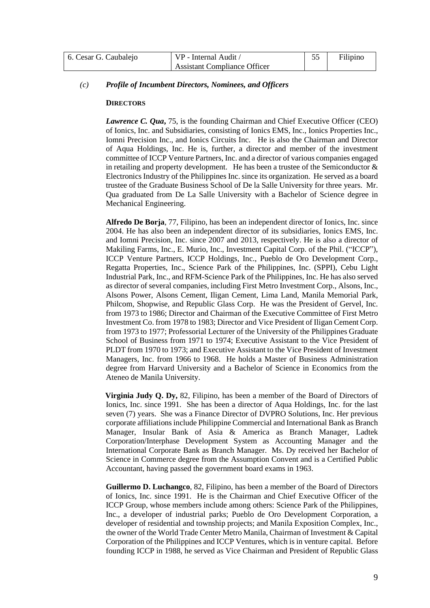| 6. Cesar G. Caubalejo | VP - Internal Audit /               |  | Filipino |
|-----------------------|-------------------------------------|--|----------|
|                       | <b>Assistant Compliance Officer</b> |  |          |

## *(c) Profile of Incumbent Directors, Nominees, and Officers*

#### **DIRECTORS**

*Lawrence C. Qua***,** 75, is the founding Chairman and Chief Executive Officer (CEO) of Ionics, Inc. and Subsidiaries, consisting of Ionics EMS, Inc., Ionics Properties Inc., Iomni Precision Inc., and Ionics Circuits Inc. He is also the Chairman and Director of Aqua Holdings, Inc. He is, further, a director and member of the investment committee of ICCP Venture Partners, Inc. and a director of various companies engaged in retailing and property development. He has been a trustee of the Semiconductor  $\&$ Electronics Industry of the Philippines Inc.since its organization. He served as a board trustee of the Graduate Business School of De la Salle University for three years. Mr. Qua graduated from De La Salle University with a Bachelor of Science degree in Mechanical Engineering.

**Alfredo De Borja**, 77, Filipino, has been an independent director of Ionics, Inc. since 2004. He has also been an independent director of its subsidiaries, Ionics EMS, Inc. and Iomni Precision, Inc. since 2007 and 2013, respectively. He is also a director of Makiling Farms, Inc., E. Murio, Inc., Investment Capital Corp. of the Phil. ("ICCP"), ICCP Venture Partners, ICCP Holdings, Inc., Pueblo de Oro Development Corp., Regatta Properties, Inc., Science Park of the Philippines, Inc. (SPPI), Cebu Light Industrial Park, Inc., and RFM-Science Park of the Philippines, Inc. He has also served as director of several companies, including First Metro Investment Corp., Alsons, Inc., Alsons Power, Alsons Cement, Iligan Cement, Lima Land, Manila Memorial Park, Philcom, Shopwise, and Republic Glass Corp. He was the President of Gervel, Inc. from 1973 to 1986; Director and Chairman of the Executive Committee of First Metro Investment Co. from 1978 to 1983; Director and Vice President of Iligan Cement Corp. from 1973 to 1977; Professorial Lecturer of the University of the Philippines Graduate School of Business from 1971 to 1974; Executive Assistant to the Vice President of PLDT from 1970 to 1973; and Executive Assistant to the Vice President of Investment Managers, Inc. from 1966 to 1968. He holds a Master of Business Administration degree from Harvard University and a Bachelor of Science in Economics from the Ateneo de Manila University.

**Virginia Judy Q. Dy,** 82, Filipino, has been a member of the Board of Directors of Ionics, Inc. since 1991. She has been a director of Aqua Holdings, Inc. for the last seven (7) years. She was a Finance Director of DVPRO Solutions, Inc. Her previous corporate affiliationsinclude Philippine Commercial and International Bank as Branch Manager, Insular Bank of Asia & America as Branch Manager, Ladtek Corporation/Interphase Development System as Accounting Manager and the International Corporate Bank as Branch Manager. Ms. Dy received her Bachelor of Science in Commerce degree from the Assumption Convent and is a Certified Public Accountant, having passed the government board exams in 1963.

**Guillermo D. Luchangco**, 82, Filipino, has been a member of the Board of Directors of Ionics, Inc. since 1991. He is the Chairman and Chief Executive Officer of the ICCP Group, whose members include among others: Science Park of the Philippines, Inc., a developer of industrial parks; Pueblo de Oro Development Corporation, a developer of residential and township projects; and Manila Exposition Complex, Inc., the owner of the World Trade Center Metro Manila, Chairman of Investment & Capital Corporation of the Philippines and ICCP Ventures, which is in venture capital. Before founding ICCP in 1988, he served as Vice Chairman and President of Republic Glass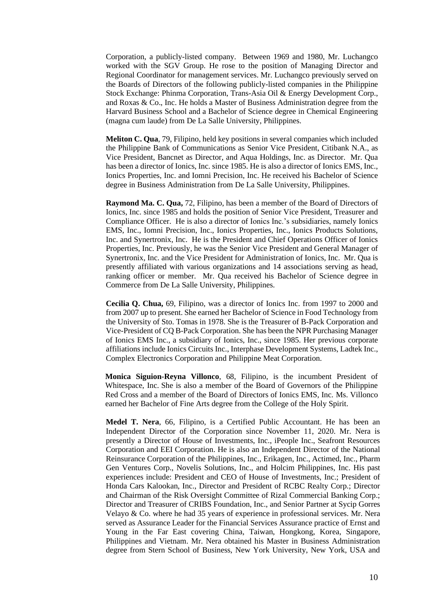Corporation, a publicly-listed company. Between 1969 and 1980, Mr. Luchangco worked with the SGV Group. He rose to the position of Managing Director and Regional Coordinator for management services. Mr. Luchangco previously served on the Boards of Directors of the following publicly-listed companies in the Philippine Stock Exchange: Phinma Corporation, Trans-Asia Oil & Energy Development Corp., and Roxas & Co., Inc. He holds a Master of Business Administration degree from the Harvard Business School and a Bachelor of Science degree in Chemical Engineering (magna cum laude) from De La Salle University, Philippines.

**Meliton C. Qua**, 79, Filipino, held key positions in several companies which included the Philippine Bank of Communications as Senior Vice President, Citibank N.A., as Vice President, Bancnet as Director, and Aqua Holdings, Inc. as Director. Mr. Qua has been a director of Ionics, Inc. since 1985. He is also a director of Ionics EMS, Inc., Ionics Properties, Inc. and Iomni Precision, Inc. He received his Bachelor of Science degree in Business Administration from De La Salle University, Philippines.

**Raymond Ma. C. Qua,** 72, Filipino, has been a member of the Board of Directors of Ionics, Inc. since 1985 and holds the position of Senior Vice President, Treasurer and Compliance Officer. He is also a director of Ionics Inc.'s subsidiaries, namely Ionics EMS, Inc., Iomni Precision, Inc., Ionics Properties, Inc., Ionics Products Solutions, Inc. and Synertronix, Inc. He is the President and Chief Operations Officer of Ionics Properties, Inc. Previously, he was the Senior Vice President and General Manager of Synertronix, Inc. and the Vice President for Administration of Ionics, Inc. Mr. Qua is presently affiliated with various organizations and 14 associations serving as head, ranking officer or member. Mr. Qua received his Bachelor of Science degree in Commerce from De La Salle University, Philippines.

**Cecilia Q. Chua,** 69, Filipino, was a director of Ionics Inc. from 1997 to 2000 and from 2007 up to present. She earned her Bachelor of Science in Food Technology from the University of Sto. Tomas in 1978. She is the Treasurer of B-Pack Corporation and Vice-President of CQ B-Pack Corporation. She has been the NPR Purchasing Manager of Ionics EMS Inc., a subsidiary of Ionics, Inc., since 1985. Her previous corporate affiliations include Ionics Circuits Inc., Interphase Development Systems, Ladtek Inc., Complex Electronics Corporation and Philippine Meat Corporation.

**Monica Siguion-Reyna Villonco**, 68, Filipino, is the incumbent President of Whitespace, Inc. She is also a member of the Board of Governors of the Philippine Red Cross and a member of the Board of Directors of Ionics EMS, Inc. Ms. Villonco earned her Bachelor of Fine Arts degree from the College of the Holy Spirit.

**Medel T. Nera**, 66, Filipino, is a Certified Public Accountant. He has been an Independent Director of the Corporation since November 11, 2020. Mr. Nera is presently a Director of House of Investments, Inc., iPeople Inc., Seafront Resources Corporation and EEI Corporation. He is also an Independent Director of the National Reinsurance Corporation of the Philippines, Inc., Erikagen, Inc., Actimed, Inc., Pharm Gen Ventures Corp., Novelis Solutions, Inc., and Holcim Philippines, Inc. His past experiences include: President and CEO of House of Investments, Inc.; President of Honda Cars Kalookan, Inc., Director and President of RCBC Realty Corp.; Director and Chairman of the Risk Oversight Committee of Rizal Commercial Banking Corp.; Director and Treasurer of CRIBS Foundation, Inc., and Senior Partner at Sycip Gorres Velayo & Co. where he had 35 years of experience in professional services. Mr. Nera served as Assurance Leader for the Financial Services Assurance practice of Ernst and Young in the Far East covering China, Taiwan, Hongkong, Korea, Singapore, Philippines and Vietnam. Mr. Nera obtained his Master in Business Administration degree from Stern School of Business, New York University, New York, USA and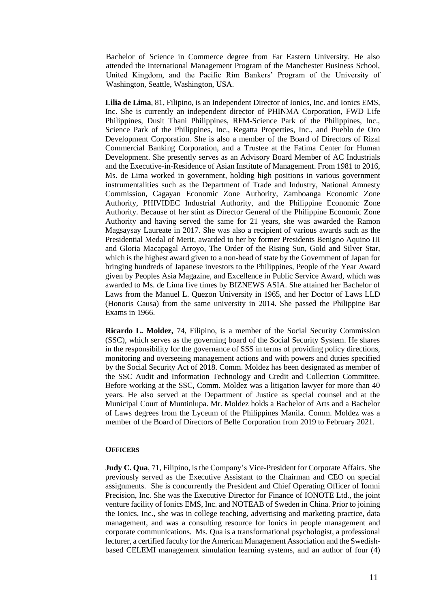Bachelor of Science in Commerce degree from Far Eastern University. He also attended the International Management Program of the Manchester Business School, United Kingdom, and the Pacific Rim Bankers' Program of the University of Washington, Seattle, Washington, USA.

**Lilia de Lima**, 81, Filipino, is an Independent Director of Ionics, Inc. and Ionics EMS, Inc. She is currently an independent director of PHINMA Corporation, FWD Life Philippines, Dusit Thani Philippines, RFM-Science Park of the Philippines, Inc., Science Park of the Philippines, Inc., Regatta Properties, Inc., and Pueblo de Oro Development Corporation. She is also a member of the Board of Directors of Rizal Commercial Banking Corporation, and a Trustee at the Fatima Center for Human Development. She presently serves as an Advisory Board Member of AC Industrials and the Executive-in-Residence of Asian Institute of Management. From 1981 to 2016, Ms. de Lima worked in government, holding high positions in various government instrumentalities such as the Department of Trade and Industry, National Amnesty Commission, Cagayan Economic Zone Authority, Zamboanga Economic Zone Authority, PHIVIDEC Industrial Authority, and the Philippine Economic Zone Authority. Because of her stint as Director General of the Philippine Economic Zone Authority and having served the same for 21 years, she was awarded the Ramon Magsaysay Laureate in 2017. She was also a recipient of various awards such as the Presidential Medal of Merit, awarded to her by former Presidents Benigno Aquino III and Gloria Macapagal Arroyo, The Order of the Rising Sun, Gold and Silver Star, which is the highest award given to a non-head of state by the Government of Japan for bringing hundreds of Japanese investors to the Philippines, People of the Year Award given by Peoples Asia Magazine, and Excellence in Public Service Award, which was awarded to Ms. de Lima five times by BIZNEWS ASIA. She attained her Bachelor of Laws from the Manuel L. Quezon University in 1965, and her Doctor of Laws LLD (Honoris Causa) from the same university in 2014. She passed the Philippine Bar Exams in 1966.

**Ricardo L. Moldez,** 74, Filipino, is a member of the Social Security Commission (SSC), which serves as the governing board of the Social Security System. He shares in the responsibility for the governance of SSS in terms of providing policy directions, monitoring and overseeing management actions and with powers and duties specified by the Social Security Act of 2018. Comm. Moldez has been designated as member of the SSC Audit and Information Technology and Credit and Collection Committee. Before working at the SSC, Comm. Moldez was a litigation lawyer for more than 40 years. He also served at the Department of Justice as special counsel and at the Municipal Court of Muntinlupa. Mr. Moldez holds a Bachelor of Arts and a Bachelor of Laws degrees from the Lyceum of the Philippines Manila. Comm. Moldez was a member of the Board of Directors of Belle Corporation from 2019 to February 2021.

## **OFFICERS**

**Judy C. Qua**, 71, Filipino, is the Company's Vice-President for Corporate Affairs. She previously served as the Executive Assistant to the Chairman and CEO on special assignments. She is concurrently the President and Chief Operating Officer of Iomni Precision, Inc. She was the Executive Director for Finance of IONOTE Ltd., the joint venture facility of Ionics EMS, Inc. and NOTEAB of Sweden in China. Prior to joining the Ionics, Inc., she was in college teaching, advertising and marketing practice, data management, and was a consulting resource for Ionics in people management and corporate communications. Ms. Qua is a transformational psychologist, a professional lecturer, a certified faculty for the American Management Association and the Swedishbased CELEMI management simulation learning systems, and an author of four (4)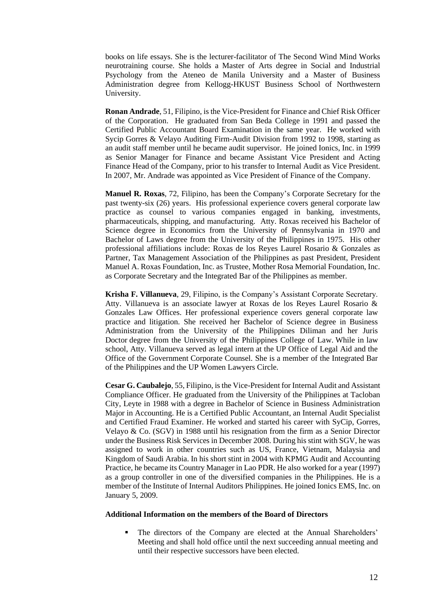books on life essays. She is the lecturer-facilitator of The Second Wind Mind Works neurotraining course. She holds a Master of Arts degree in Social and Industrial Psychology from the Ateneo de Manila University and a Master of Business Administration degree from Kellogg-HKUST Business School of Northwestern University.

**Ronan Andrade**, 51, Filipino, is the Vice-President for Finance and Chief Risk Officer of the Corporation. He graduated from San Beda College in 1991 and passed the Certified Public Accountant Board Examination in the same year. He worked with Sycip Gorres & Velayo Auditing Firm-Audit Division from 1992 to 1998, starting as an audit staff member until he became audit supervisor. He joined Ionics, Inc. in 1999 as Senior Manager for Finance and became Assistant Vice President and Acting Finance Head of the Company, prior to his transfer to Internal Audit as Vice President. In 2007, Mr. Andrade was appointed as Vice President of Finance of the Company.

**Manuel R. Roxas**, 72, Filipino, has been the Company's Corporate Secretary for the past twenty-six (26) years. His professional experience covers general corporate law practice as counsel to various companies engaged in banking, investments, pharmaceuticals, shipping, and manufacturing. Atty. Roxas received his Bachelor of Science degree in Economics from the University of Pennsylvania in 1970 and Bachelor of Laws degree from the University of the Philippines in 1975. His other professional affiliations include: Roxas de los Reyes Laurel Rosario & Gonzales as Partner, Tax Management Association of the Philippines as past President, President Manuel A. Roxas Foundation, Inc. as Trustee, Mother Rosa Memorial Foundation, Inc. as Corporate Secretary and the Integrated Bar of the Philippines as member.

**Krisha F. Villanueva**, 29, Filipino, is the Company's Assistant Corporate Secretary. Atty. Villanueva is an associate lawyer at Roxas de los Reyes Laurel Rosario & Gonzales Law Offices. Her professional experience covers general corporate law practice and litigation. She received her Bachelor of Science degree in Business Administration from the University of the Philippines Diliman and her Juris Doctor degree from the University of the Philippines College of Law. While in law school, Atty. Villanueva served as legal intern at the UP Office of Legal Aid and the Office of the Government Corporate Counsel. She is a member of the Integrated Bar of the Philippines and the UP Women Lawyers Circle.

**Cesar G. Caubalejo**, 55, Filipino, isthe Vice-President for Internal Audit and Assistant Compliance Officer. He graduated from the University of the Philippines at Tacloban City, Leyte in 1988 with a degree in Bachelor of Science in Business Administration Major in Accounting. He is a Certified Public Accountant, an Internal Audit Specialist and Certified Fraud Examiner. He worked and started his career with SyCip, Gorres, Velayo & Co. (SGV) in 1988 until his resignation from the firm as a Senior Director under the Business Risk Services in December 2008. During his stint with SGV, he was assigned to work in other countries such as US, France, Vietnam, Malaysia and Kingdom of Saudi Arabia. In his short stint in 2004 with KPMG Audit and Accounting Practice, he became its Country Manager in Lao PDR. He also worked for a year (1997) as a group controller in one of the diversified companies in the Philippines. He is a member of the Institute of Internal Auditors Philippines. He joined Ionics EMS, Inc. on January 5, 2009.

#### **Additional Information on the members of the Board of Directors**

The directors of the Company are elected at the Annual Shareholders' Meeting and shall hold office until the next succeeding annual meeting and until their respective successors have been elected.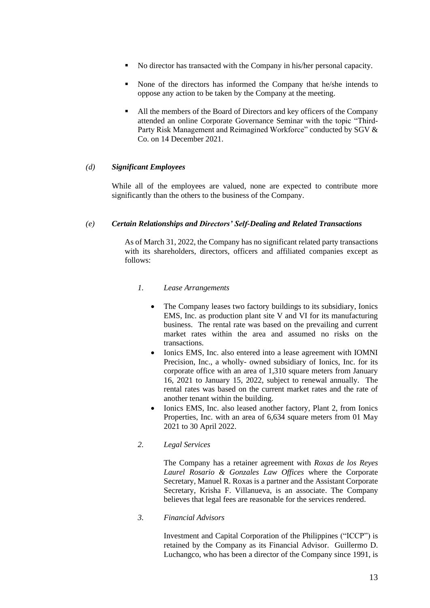- No director has transacted with the Company in his/her personal capacity.
- None of the directors has informed the Company that he/she intends to oppose any action to be taken by the Company at the meeting.
- All the members of the Board of Directors and key officers of the Company attended an online Corporate Governance Seminar with the topic "Third-Party Risk Management and Reimagined Workforce" conducted by SGV & Co. on 14 December 2021.

# *(d) Significant Employees*

While all of the employees are valued, none are expected to contribute more significantly than the others to the business of the Company.

# *(e) Certain Relationships and Directors' Self-Dealing and Related Transactions*

As of March 31, 2022, the Company has no significant related party transactions with its shareholders, directors, officers and affiliated companies except as follows:

# *1. Lease Arrangements*

- The Company leases two factory buildings to its subsidiary, Ionics EMS, Inc. as production plant site V and VI for its manufacturing business. The rental rate was based on the prevailing and current market rates within the area and assumed no risks on the transactions.
- Ionics EMS, Inc. also entered into a lease agreement with IOMNI Precision, Inc., a wholly- owned subsidiary of Ionics, Inc. for its corporate office with an area of 1,310 square meters from January 16, 2021 to January 15, 2022, subject to renewal annually. The rental rates was based on the current market rates and the rate of another tenant within the building.
- Ionics EMS, Inc. also leased another factory, Plant 2, from Ionics Properties, Inc. with an area of 6,634 square meters from 01 May 2021 to 30 April 2022.

# *2. Legal Services*

The Company has a retainer agreement with *Roxas de los Reyes Laurel Rosario & Gonzales Law Offices* where the Corporate Secretary, Manuel R. Roxas is a partner and the Assistant Corporate Secretary, Krisha F. Villanueva, is an associate. The Company believes that legal fees are reasonable for the services rendered.

## *3. Financial Advisors*

Investment and Capital Corporation of the Philippines ("ICCP") is retained by the Company as its Financial Advisor. Guillermo D. Luchangco, who has been a director of the Company since 1991, is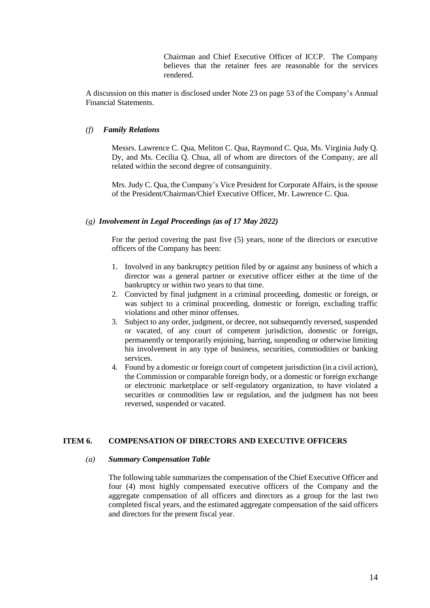Chairman and Chief Executive Officer of ICCP. The Company believes that the retainer fees are reasonable for the services rendered.

A discussion on this matter is disclosed under Note 23 on page 53 of the Company's Annual Financial Statements.

## *(f) Family Relations*

Messrs. Lawrence C. Qua, Meliton C. Qua, Raymond C. Qua, Ms. Virginia Judy Q. Dy, and Ms. Cecilia Q. Chua, all of whom are directors of the Company, are all related within the second degree of consanguinity.

Mrs. Judy C. Qua, the Company's Vice President for Corporate Affairs, is the spouse of the President/Chairman/Chief Executive Officer, Mr. Lawrence C. Qua.

#### *(g) Involvement in Legal Proceedings (as of 17 May 2022)*

For the period covering the past five (5) years, none of the directors or executive officers of the Company has been:

- 1. Involved in any bankruptcy petition filed by or against any business of which a director was a general partner or executive officer either at the time of the bankruptcy or within two years to that time.
- 2. Convicted by final judgment in a criminal proceeding, domestic or foreign, or was subject to a criminal proceeding, domestic or foreign, excluding traffic violations and other minor offenses.
- 3. Subject to any order, judgment, or decree, not subsequently reversed, suspended or vacated, of any court of competent jurisdiction, domestic or foreign, permanently or temporarily enjoining, barring, suspending or otherwise limiting his involvement in any type of business, securities, commodities or banking services.
- 4. Found by a domestic or foreign court of competent jurisdiction (in a civil action), the Commission or comparable foreign body, or a domestic or foreign exchange or electronic marketplace or self-regulatory organization, to have violated a securities or commodities law or regulation, and the judgment has not been reversed, suspended or vacated.

# **ITEM 6. COMPENSATION OF DIRECTORS AND EXECUTIVE OFFICERS**

#### *(a) Summary Compensation Table*

The following table summarizes the compensation of the Chief Executive Officer and four (4) most highly compensated executive officers of the Company and the aggregate compensation of all officers and directors as a group for the last two completed fiscal years, and the estimated aggregate compensation of the said officers and directors for the present fiscal year.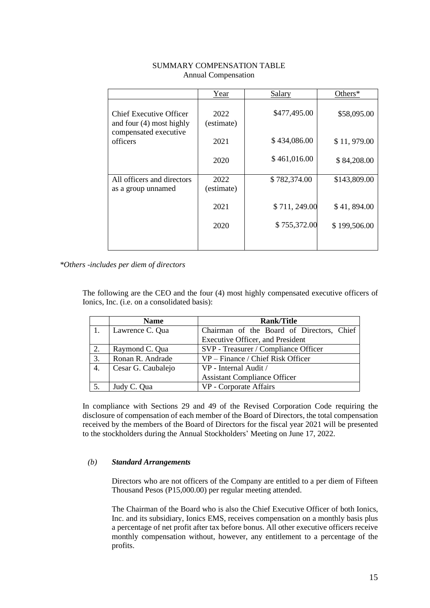|                                                              | Year               | Salary       | Others $*$   |
|--------------------------------------------------------------|--------------------|--------------|--------------|
| <b>Chief Executive Officer</b><br>and four $(4)$ most highly | 2022<br>(estimate) | \$477,495.00 | \$58,095.00  |
| compensated executive<br>officers                            | 2021               | \$434,086.00 | \$11,979.00  |
|                                                              | 2020               | \$461,016.00 | \$84,208.00  |
| All officers and directors<br>as a group unnamed             | 2022<br>(estimate) | \$782,374.00 | \$143,809.00 |
|                                                              | 2021               | \$711,249.00 | \$41,894.00  |
|                                                              | 2020               | \$755,372.00 | \$199,506.00 |
|                                                              |                    |              |              |

# SUMMARY COMPENSATION TABLE Annual Compensation

*\*Others -includes per diem of directors*

The following are the CEO and the four (4) most highly compensated executive officers of Ionics, Inc. (i.e. on a consolidated basis):

|                  | <b>Name</b>        | <b>Rank/Title</b>                         |  |  |
|------------------|--------------------|-------------------------------------------|--|--|
|                  | Lawrence C. Qua    | Chairman of the Board of Directors, Chief |  |  |
|                  |                    | <b>Executive Officer, and President</b>   |  |  |
| 2.               | Raymond C. Qua     | SVP - Treasurer / Compliance Officer      |  |  |
| 3.               | Ronan R. Andrade   | VP – Finance / Chief Risk Officer         |  |  |
| $\overline{4}$ . | Cesar G. Caubalejo | VP - Internal Audit /                     |  |  |
|                  |                    | <b>Assistant Compliance Officer</b>       |  |  |
| 5.               | Judy C. Qua        | VP - Corporate Affairs                    |  |  |

In compliance with Sections 29 and 49 of the Revised Corporation Code requiring the disclosure of compensation of each member of the Board of Directors, the total compensation received by the members of the Board of Directors for the fiscal year 2021 will be presented to the stockholders during the Annual Stockholders' Meeting on June 17, 2022.

# *(b) Standard Arrangements*

Directors who are not officers of the Company are entitled to a per diem of Fifteen Thousand Pesos (P15,000.00) per regular meeting attended.

The Chairman of the Board who is also the Chief Executive Officer of both Ionics, Inc. and its subsidiary, Ionics EMS, receives compensation on a monthly basis plus a percentage of net profit after tax before bonus. All other executive officers receive monthly compensation without, however, any entitlement to a percentage of the profits.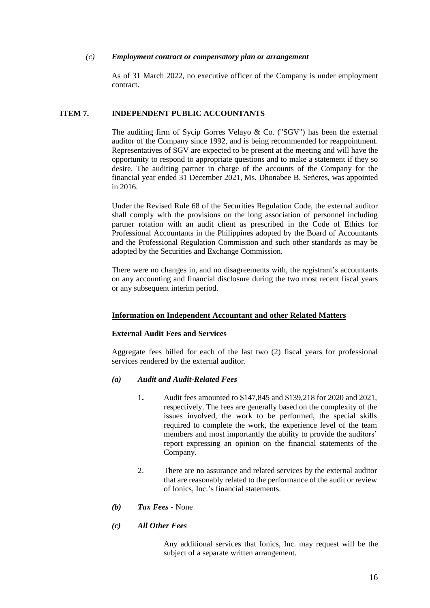## *(c) Employment contract or compensatory plan or arrangement*

As of 31 March 2022, no executive officer of the Company is under employment contract.

## **ITEM 7. INDEPENDENT PUBLIC ACCOUNTANTS**

The auditing firm of Sycip Gorres Velayo & Co. ("SGV") has been the external auditor of the Company since 1992, and is being recommended for reappointment. Representatives of SGV are expected to be present at the meeting and will have the opportunity to respond to appropriate questions and to make a statement if they so desire. The auditing partner in charge of the accounts of the Company for the financial year ended 31 December 2021, Ms. Dhonabee B. Señeres, was appointed in 2016.

Under the Revised Rule 68 of the Securities Regulation Code, the external auditor shall comply with the provisions on the long association of personnel including partner rotation with an audit client as prescribed in the Code of Ethics for Professional Accountants in the Philippines adopted by the Board of Accountants and the Professional Regulation Commission and such other standards as may be adopted by the Securities and Exchange Commission.

There were no changes in, and no disagreements with, the registrant's accountants on any accounting and financial disclosure during the two most recent fiscal years or any subsequent interim period.

## **Information on Independent Accountant and other Related Matters**

## **External Audit Fees and Services**

Aggregate fees billed for each of the last two (2) fiscal years for professional services rendered by the external auditor.

## *(a) Audit and Audit-Related Fees*

- 1**.** Audit fees amounted to \$147,845 and \$139,218 for 2020 and 2021, respectively. The fees are generally based on the complexity of the issues involved, the work to be performed, the special skills required to complete the work, the experience level of the team members and most importantly the ability to provide the auditors' report expressing an opinion on the financial statements of the Company.
- 2. There are no assurance and related services by the external auditor that are reasonably related to the performance of the audit or review of Ionics, Inc.'s financial statements.
- *(b) Tax Fees* None
- *(c) All Other Fees*

Any additional services that Ionics, Inc. may request will be the subject of a separate written arrangement.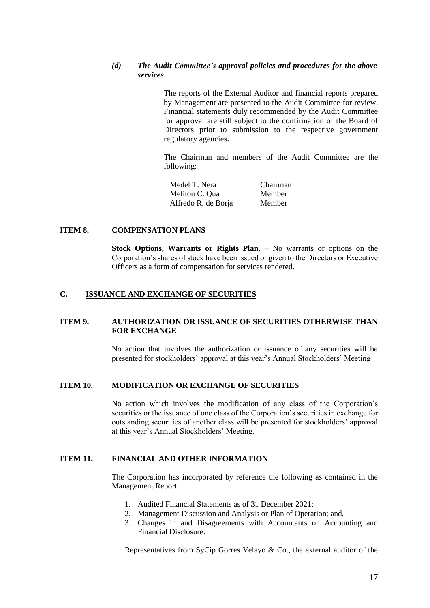# *(d) The Audit Committee's approval policies and procedures for the above services*

The reports of the External Auditor and financial reports prepared by Management are presented to the Audit Committee for review. Financial statements duly recommended by the Audit Committee for approval are still subject to the confirmation of the Board of Directors prior to submission to the respective government regulatory agencies**.**

The Chairman and members of the Audit Committee are the following:

Medel T. Nera Chairman Meliton C. Qua Member Alfredo R. de Borja Member

#### **ITEM 8. COMPENSATION PLANS**

**Stock Options, Warrants or Rights Plan. –** No warrants or options on the Corporation's shares of stock have been issued or given to the Directors or Executive Officers as a form of compensation for services rendered.

### **C. ISSUANCE AND EXCHANGE OF SECURITIES**

## **ITEM 9. AUTHORIZATION OR ISSUANCE OF SECURITIES OTHERWISE THAN FOR EXCHANGE**

No action that involves the authorization or issuance of any securities will be presented for stockholders' approval at this year's Annual Stockholders' Meeting

### **ITEM 10. MODIFICATION OR EXCHANGE OF SECURITIES**

No action which involves the modification of any class of the Corporation's securities or the issuance of one class of the Corporation's securities in exchange for outstanding securities of another class will be presented for stockholders' approval at this year's Annual Stockholders' Meeting.

#### **ITEM 11. FINANCIAL AND OTHER INFORMATION**

The Corporation has incorporated by reference the following as contained in the Management Report:

- 1. Audited Financial Statements as of 31 December 2021;
- 2. Management Discussion and Analysis or Plan of Operation; and,
- 3. Changes in and Disagreements with Accountants on Accounting and Financial Disclosure.

Representatives from SyCip Gorres Velayo & Co., the external auditor of the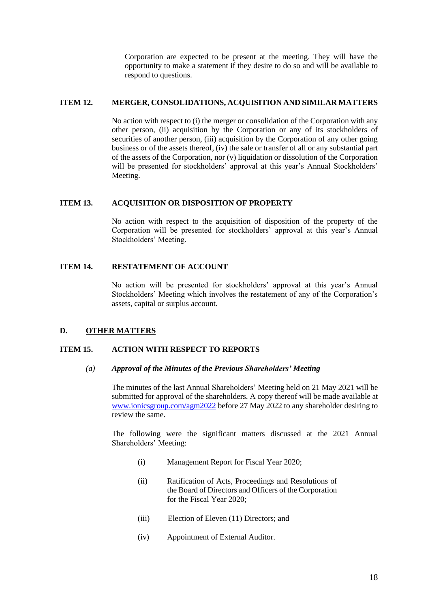Corporation are expected to be present at the meeting. They will have the opportunity to make a statement if they desire to do so and will be available to respond to questions.

### **ITEM 12. MERGER, CONSOLIDATIONS, ACQUISITION AND SIMILAR MATTERS**

No action with respect to (i) the merger or consolidation of the Corporation with any other person, (ii) acquisition by the Corporation or any of its stockholders of securities of another person, (iii) acquisition by the Corporation of any other going business or of the assets thereof, (iv) the sale or transfer of all or any substantial part of the assets of the Corporation, nor (v) liquidation or dissolution of the Corporation will be presented for stockholders' approval at this year's Annual Stockholders' Meeting.

### **ITEM 13. ACQUISITION OR DISPOSITION OF PROPERTY**

No action with respect to the acquisition of disposition of the property of the Corporation will be presented for stockholders' approval at this year's Annual Stockholders' Meeting.

## **ITEM 14. RESTATEMENT OF ACCOUNT**

No action will be presented for stockholders' approval at this year's Annual Stockholders' Meeting which involves the restatement of any of the Corporation's assets, capital or surplus account.

## **D. OTHER MATTERS**

## **ITEM 15. ACTION WITH RESPECT TO REPORTS**

## *(a) Approval of the Minutes of the Previous Shareholders' Meeting*

The minutes of the last Annual Shareholders' Meeting held on 21 May 2021 will be submitted for approval of the shareholders. A copy thereof will be made available at [www.ionicsgroup.com/agm2022](http://www.ionicsgroup.com/agm2021) before 27 May 2022 to any shareholder desiring to review the same.

The following were the significant matters discussed at the 2021 Annual Shareholders' Meeting:

- (i) Management Report for Fiscal Year 2020;
- (ii) Ratification of Acts, Proceedings and Resolutions of the Board of Directors and Officers of the Corporation for the Fiscal Year 2020;
- (iii) Election of Eleven (11) Directors; and
- (iv) Appointment of External Auditor.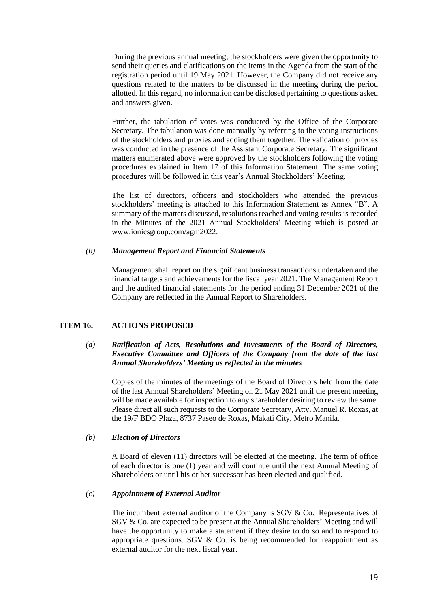During the previous annual meeting, the stockholders were given the opportunity to send their queries and clarifications on the items in the Agenda from the start of the registration period until 19 May 2021. However, the Company did not receive any questions related to the matters to be discussed in the meeting during the period allotted. In this regard, no information can be disclosed pertaining to questions asked and answers given.

Further, the tabulation of votes was conducted by the Office of the Corporate Secretary. The tabulation was done manually by referring to the voting instructions of the stockholders and proxies and adding them together. The validation of proxies was conducted in the presence of the Assistant Corporate Secretary. The significant matters enumerated above were approved by the stockholders following the voting procedures explained in Item 17 of this Information Statement. The same voting procedures will be followed in this year's Annual Stockholders' Meeting.

The list of directors, officers and stockholders who attended the previous stockholders' meeting is attached to this Information Statement as Annex "B". A summary of the matters discussed, resolutions reached and voting results is recorded in the Minutes of the 2021 Annual Stockholders' Meeting which is posted at www.ionicsgroup.com/agm2022.

## *(b) Management Report and Financial Statements*

Management shall report on the significant business transactions undertaken and the financial targets and achievements for the fiscal year 2021. The Management Report and the audited financial statements for the period ending 31 December 2021 of the Company are reflected in the Annual Report to Shareholders.

## **ITEM 16. ACTIONS PROPOSED**

## *(a) Ratification of Acts, Resolutions and Investments of the Board of Directors, Executive Committee and Officers of the Company from the date of the last Annual Shareholders' Meeting as reflected in the minutes*

Copies of the minutes of the meetings of the Board of Directors held from the date of the last Annual Shareholders' Meeting on 21 May 2021 until the present meeting will be made available for inspection to any shareholder desiring to review the same. Please direct all such requests to the Corporate Secretary, Atty. Manuel R. Roxas, at the 19/F BDO Plaza, 8737 Paseo de Roxas, Makati City, Metro Manila.

#### *(b) Election of Directors*

A Board of eleven (11) directors will be elected at the meeting. The term of office of each director is one (1) year and will continue until the next Annual Meeting of Shareholders or until his or her successor has been elected and qualified.

#### *(c) Appointment of External Auditor*

The incumbent external auditor of the Company is  $SGV & Co$ . Representatives of SGV & Co. are expected to be present at the Annual Shareholders' Meeting and will have the opportunity to make a statement if they desire to do so and to respond to appropriate questions. SGV  $&$  Co. is being recommended for reappointment as external auditor for the next fiscal year.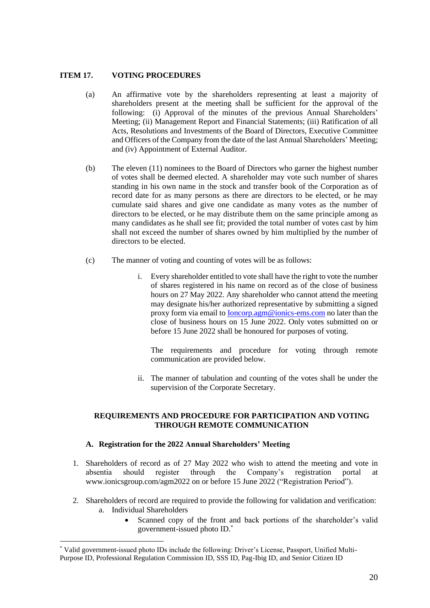# **ITEM 17. VOTING PROCEDURES**

- (a) An affirmative vote by the shareholders representing at least a majority of shareholders present at the meeting shall be sufficient for the approval of the following: (i) Approval of the minutes of the previous Annual Shareholders' Meeting; (ii) Management Report and Financial Statements; (iii) Ratification of all Acts, Resolutions and Investments of the Board of Directors, Executive Committee and Officers of the Company from the date of the last Annual Shareholders' Meeting; and (iv) Appointment of External Auditor.
- (b) The eleven (11) nominees to the Board of Directors who garner the highest number of votes shall be deemed elected. A shareholder may vote such number of shares standing in his own name in the stock and transfer book of the Corporation as of record date for as many persons as there are directors to be elected, or he may cumulate said shares and give one candidate as many votes as the number of directors to be elected, or he may distribute them on the same principle among as many candidates as he shall see fit; provided the total number of votes cast by him shall not exceed the number of shares owned by him multiplied by the number of directors to be elected.
- (c) The manner of voting and counting of votes will be as follows:
	- i. Every shareholder entitled to vote shall have the right to vote the number of shares registered in his name on record as of the close of business hours on 27 May 2022. Any shareholder who cannot attend the meeting may designate his/her authorized representative by submitting a signed proxy form via email to [Ioncorp.agm@ionics-ems.com](mailto:Ioncorp.agm@ionics-ems.com) no later than the close of business hours on 15 June 2022. Only votes submitted on or before 15 June 2022 shall be honoured for purposes of voting.

The requirements and procedure for voting through remote communication are provided below.

ii. The manner of tabulation and counting of the votes shall be under the supervision of the Corporate Secretary.

# **REQUIREMENTS AND PROCEDURE FOR PARTICIPATION AND VOTING THROUGH REMOTE COMMUNICATION**

# **A. Registration for the 2022 Annual Shareholders' Meeting**

- 1. Shareholders of record as of 27 May 2022 who wish to attend the meeting and vote in absentia should register through the Company's registration portal at www.ionicsgroup.com/agm2022 on or before 15 June 2022 ("Registration Period").
- 2. Shareholders of record are required to provide the following for validation and verification: a. Individual Shareholders
	- Scanned copy of the front and back portions of the shareholder's valid government-issued photo ID.\*

<sup>\*</sup> Valid government-issued photo IDs include the following: Driver's License, Passport, Unified Multi-Purpose ID, Professional Regulation Commission ID, SSS ID, Pag-Ibig ID, and Senior Citizen ID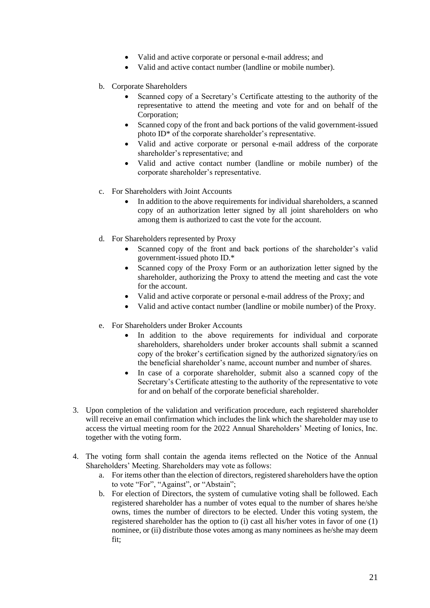- Valid and active corporate or personal e-mail address; and
- Valid and active contact number (landline or mobile number).
- b. Corporate Shareholders
	- Scanned copy of a Secretary's Certificate attesting to the authority of the representative to attend the meeting and vote for and on behalf of the Corporation;
	- Scanned copy of the front and back portions of the valid government-issued photo ID\* of the corporate shareholder's representative.
	- Valid and active corporate or personal e-mail address of the corporate shareholder's representative; and
	- Valid and active contact number (landline or mobile number) of the corporate shareholder's representative.
- c. For Shareholders with Joint Accounts
	- In addition to the above requirements for individual shareholders, a scanned copy of an authorization letter signed by all joint shareholders on who among them is authorized to cast the vote for the account.
- d. For Shareholders represented by Proxy
	- Scanned copy of the front and back portions of the shareholder's valid government-issued photo ID.\*
	- Scanned copy of the Proxy Form or an authorization letter signed by the shareholder, authorizing the Proxy to attend the meeting and cast the vote for the account.
	- Valid and active corporate or personal e-mail address of the Proxy; and
	- Valid and active contact number (landline or mobile number) of the Proxy.
- e. For Shareholders under Broker Accounts
	- In addition to the above requirements for individual and corporate shareholders, shareholders under broker accounts shall submit a scanned copy of the broker's certification signed by the authorized signatory/ies on the beneficial shareholder's name, account number and number of shares.
	- In case of a corporate shareholder, submit also a scanned copy of the Secretary's Certificate attesting to the authority of the representative to vote for and on behalf of the corporate beneficial shareholder.
- 3. Upon completion of the validation and verification procedure, each registered shareholder will receive an email confirmation which includes the link which the shareholder may use to access the virtual meeting room for the 2022 Annual Shareholders' Meeting of Ionics, Inc. together with the voting form.
- 4. The voting form shall contain the agenda items reflected on the Notice of the Annual Shareholders' Meeting. Shareholders may vote as follows:
	- a. For items other than the election of directors, registered shareholders have the option to vote "For", "Against", or "Abstain";
	- b. For election of Directors, the system of cumulative voting shall be followed. Each registered shareholder has a number of votes equal to the number of shares he/she owns, times the number of directors to be elected. Under this voting system, the registered shareholder has the option to (i) cast all his/her votes in favor of one (1) nominee, or (ii) distribute those votes among as many nominees as he/she may deem fit;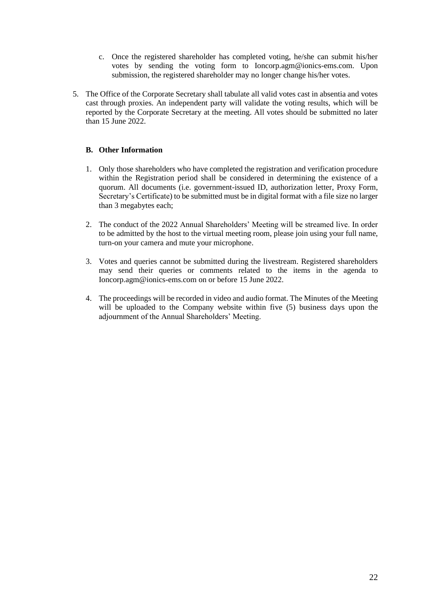- c. Once the registered shareholder has completed voting, he/she can submit his/her votes by sending the voting form to Ioncorp.agm@ionics-ems.com. Upon submission, the registered shareholder may no longer change his/her votes.
- 5. The Office of the Corporate Secretary shall tabulate all valid votes cast in absentia and votes cast through proxies. An independent party will validate the voting results, which will be reported by the Corporate Secretary at the meeting. All votes should be submitted no later than 15 June 2022.

# **B. Other Information**

- 1. Only those shareholders who have completed the registration and verification procedure within the Registration period shall be considered in determining the existence of a quorum. All documents (i.e. government-issued ID, authorization letter, Proxy Form, Secretary's Certificate) to be submitted must be in digital format with a file size no larger than 3 megabytes each;
- 2. The conduct of the 2022 Annual Shareholders' Meeting will be streamed live. In order to be admitted by the host to the virtual meeting room, please join using your full name, turn-on your camera and mute your microphone.
- 3. Votes and queries cannot be submitted during the livestream. Registered shareholders may send their queries or comments related to the items in the agenda to Ioncorp.agm@ionics-ems.com on or before 15 June 2022.
- 4. The proceedings will be recorded in video and audio format. The Minutes of the Meeting will be uploaded to the Company website within five (5) business days upon the adjournment of the Annual Shareholders' Meeting.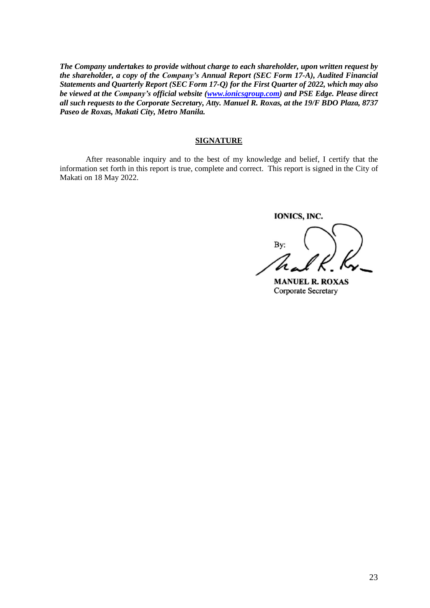*The Company undertakes to provide without charge to each shareholder, upon written request by the shareholder, a copy of the Company's Annual Report (SEC Form 17-A), Audited Financial Statements and Quarterly Report (SEC Form 17-Q) for the First Quarter of 2022, which may also be viewed at the Company's official website [\(www.ionicsgroup.com\)](http://www.ionicsgroup.com/) and PSE Edge. Please direct all such requests to the Corporate Secretary, Atty. Manuel R. Roxas, at the 19/F BDO Plaza, 8737 Paseo de Roxas, Makati City, Metro Manila.*

## **SIGNATURE**

After reasonable inquiry and to the best of my knowledge and belief, I certify that the information set forth in this report is true, complete and correct. This report is signed in the City of Makati on 18 May 2022.

IONICS, INC.

Bv:

**MANUEL R. ROXAS** Corporate Secretary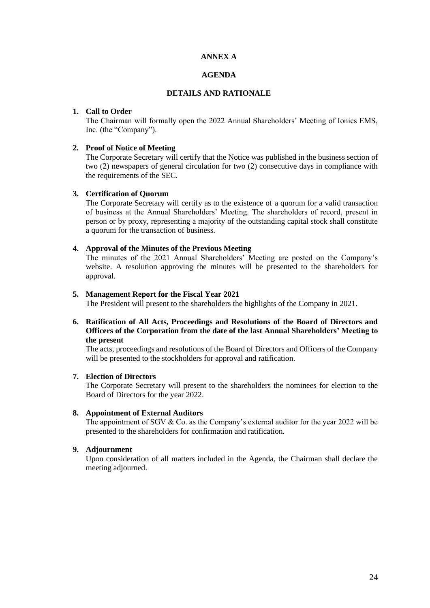## **ANNEX A**

# **AGENDA**

### **DETAILS AND RATIONALE**

#### **1. Call to Order**

The Chairman will formally open the 2022 Annual Shareholders' Meeting of Ionics EMS, Inc. (the "Company").

#### **2. Proof of Notice of Meeting**

The Corporate Secretary will certify that the Notice was published in the business section of two (2) newspapers of general circulation for two (2) consecutive days in compliance with the requirements of the SEC.

### **3. Certification of Quorum**

The Corporate Secretary will certify as to the existence of a quorum for a valid transaction of business at the Annual Shareholders' Meeting. The shareholders of record, present in person or by proxy, representing a majority of the outstanding capital stock shall constitute a quorum for the transaction of business.

### **4. Approval of the Minutes of the Previous Meeting**

The minutes of the 2021 Annual Shareholders' Meeting are posted on the Company's website. A resolution approving the minutes will be presented to the shareholders for approval.

#### **5. Management Report for the Fiscal Year 2021**

The President will present to the shareholders the highlights of the Company in 2021.

## **6. Ratification of All Acts, Proceedings and Resolutions of the Board of Directors and Officers of the Corporation from the date of the last Annual Shareholders' Meeting to the present**

The acts, proceedings and resolutions of the Board of Directors and Officers of the Company will be presented to the stockholders for approval and ratification.

# **7. Election of Directors**

The Corporate Secretary will present to the shareholders the nominees for election to the Board of Directors for the year 2022.

#### **8. Appointment of External Auditors**

The appointment of SGV  $&$  Co. as the Company's external auditor for the year 2022 will be presented to the shareholders for confirmation and ratification.

### **9. Adjournment**

Upon consideration of all matters included in the Agenda, the Chairman shall declare the meeting adjourned.